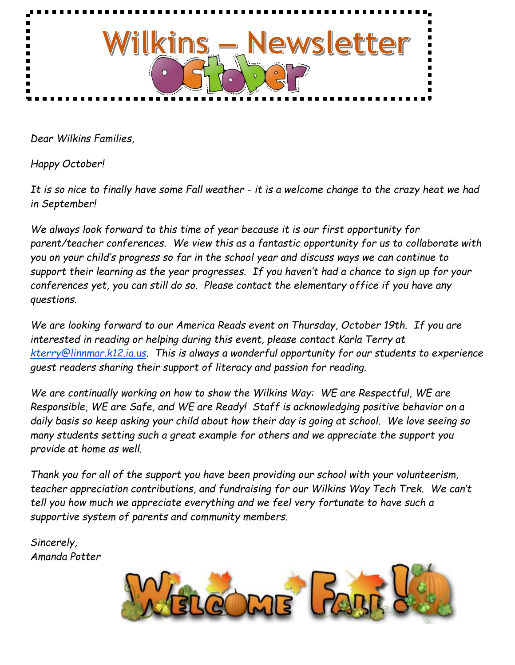

*Dear Wilkins Families,*

*Happy October!*

*It is so nice to finally have some Fall weather - it is a welcome change to the crazy heat we had in September!* 

*We always look forward to this time of year because it is our first opportunity for parent/teacher conferences. We view this as a fantastic opportunity for us to collaborate with you on your child's progress so far in the school year and discuss ways we can continue to support their learning as the year progresses. If you haven't had a chance to sign up for your conferences yet, you can still do so. Please contact the elementary office if you have any questions.*

*We are looking forward to our America Reads event on Thursday, October 19th. If you are interested in reading or helping during this event, please contact Karla Terry at [kterry@linnmar.k12.ia.us.](mailto:kterry@linnmar.k12.ia.us) This is always a wonderful opportunity for our students to experience guest readers sharing their support of literacy and passion for reading.*

*We are continually working on how to show the Wilkins Way: WE are Respectful, WE are Responsible, WE are Safe, and WE are Ready! Staff is acknowledging positive behavior on a daily basis so keep asking your child about how their day is going at school. We love seeing so many students setting such a great example for others and we appreciate the support you provide at home as well.*

*Thank you for all of the support you have been providing our school with your volunteerism, teacher appreciation contributions, and fundraising for our Wilkins Way Tech Trek. We can't tell you how much we appreciate everything and we feel very fortunate to have such a supportive system of parents and community members.*

*Sincerely, Amanda Potter*

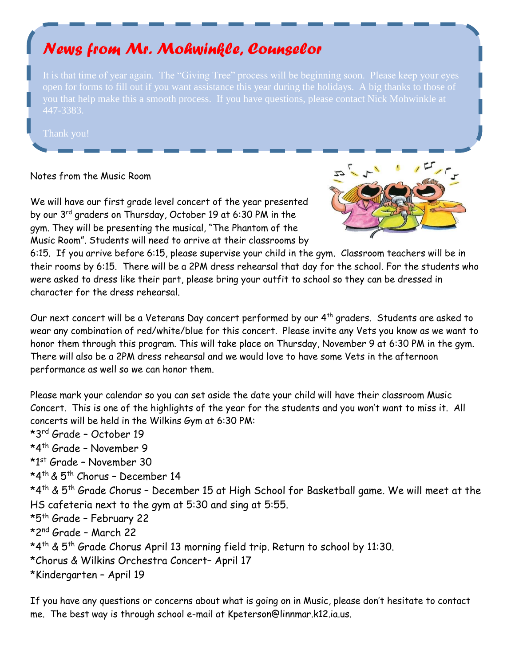# *News from Mr. Mohwinkle, Counselor*

you that help make this a smooth process. If you have questions, please contact Nick Mohwinkle at

#### Notes from the Music Room

We will have our first grade level concert of the year presented by our 3<sup>rd</sup> graders on Thursday, October 19 at 6:30 PM in the gym. They will be presenting the musical, "The Phantom of the Music Room". Students will need to arrive at their classrooms by



6:15. If you arrive before 6:15, please supervise your child in the gym. Classroom teachers will be in their rooms by 6:15. There will be a 2PM dress rehearsal that day for the school. For the students who were asked to dress like their part, please bring your outfit to school so they can be dressed in character for the dress rehearsal.

Our next concert will be a Veterans Day concert performed by our 4<sup>th</sup> graders. Students are asked to wear any combination of red/white/blue for this concert. Please invite any Vets you know as we want to honor them through this program. This will take place on Thursday, November 9 at 6:30 PM in the gym. There will also be a 2PM dress rehearsal and we would love to have some Vets in the afternoon performance as well so we can honor them.

Please mark your calendar so you can set aside the date your child will have their classroom Music Concert. This is one of the highlights of the year for the students and you won't want to miss it. All concerts will be held in the Wilkins Gym at 6:30 PM: \*3 rd Grade – October 19 \*4 th Grade – November 9 \*1<sup>st</sup> Grade – November 30 \*4 th & 5th Chorus – December 14 \*4 th & 5th Grade Chorus – December 15 at High School for Basketball game. We will meet at the HS cafeteria next to the gym at 5:30 and sing at 5:55. \*5 th Grade – February 22 \*2 nd Grade – March 22 \*4 th & 5th Grade Chorus April 13 morning field trip. Return to school by 11:30. \*Chorus & Wilkins Orchestra Concert– April 17 \*Kindergarten – April 19

If you have any questions or concerns about what is going on in Music, please don't hesitate to contact me. The best way is through school e-mail at Kpeterson@linnmar.k12.ia.us.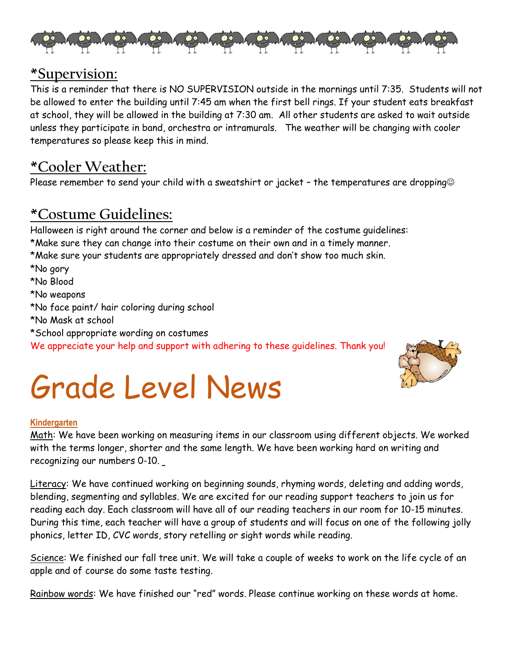

### **\*Supervision:**

This is a reminder that there is NO SUPERVISION outside in the mornings until 7:35. Students will not be allowed to enter the building until 7:45 am when the first bell rings. If your student eats breakfast at school, they will be allowed in the building at 7:30 am. All other students are asked to wait outside unless they participate in band, orchestra or intramurals. The weather will be changing with cooler temperatures so please keep this in mind.

# **\*Cooler Weather:**

Please remember to send your child with a sweatshirt or jacket - the temperatures are dropping<sup>®</sup>

# **\*Costume Guidelines:**

Halloween is right around the corner and below is a reminder of the costume guidelines: \*Make sure they can change into their costume on their own and in a timely manner. \*Make sure your students are appropriately dressed and don't show too much skin. \*No gory \*No Blood \*No weapons \*No face paint/ hair coloring during school \*No Mask at school \*School appropriate wording on costumes We appreciate your help and support with adhering to these guidelines. Thank you!



# Grade Level News

#### **Kindergarten**

Math: We have been working on measuring items in our classroom using different objects. We worked with the terms longer, shorter and the same length. We have been working hard on writing and recognizing our numbers 0-10.

Literacy: We have continued working on beginning sounds, rhyming words, deleting and adding words, blending, segmenting and syllables. We are excited for our reading support teachers to join us for reading each day. Each classroom will have all of our reading teachers in our room for 10-15 minutes. During this time, each teacher will have a group of students and will focus on one of the following jolly phonics, letter ID, CVC words, story retelling or sight words while reading.

Science: We finished our fall tree unit. We will take a couple of weeks to work on the life cycle of an apple and of course do some taste testing.

Rainbow words: We have finished our "red" words. Please continue working on these words at home.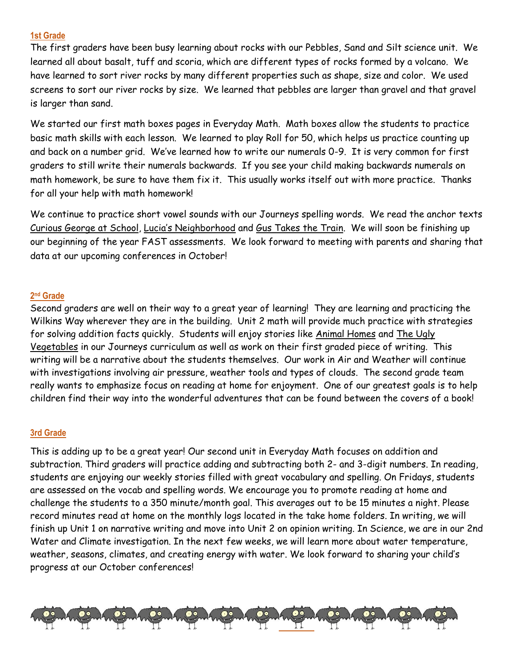#### **1st Grade**

The first graders have been busy learning about rocks with our Pebbles, Sand and Silt science unit. We learned all about basalt, tuff and scoria, which are different types of rocks formed by a volcano. We have learned to sort river rocks by many different properties such as shape, size and color. We used screens to sort our river rocks by size. We learned that pebbles are larger than gravel and that gravel is larger than sand.

We started our first math boxes pages in Everyday Math. Math boxes allow the students to practice basic math skills with each lesson. We learned to play Roll for 50, which helps us practice counting up and back on a number grid. We've learned how to write our numerals 0-9. It is very common for first graders to still write their numerals backwards. If you see your child making backwards numerals on math homework, be sure to have them fix it. This usually works itself out with more practice. Thanks for all your help with math homework!

We continue to practice short vowel sounds with our Journeys spelling words. We read the anchor texts Curious George at School, Lucia's Neighborhood and Gus Takes the Train. We will soon be finishing up our beginning of the year FAST assessments. We look forward to meeting with parents and sharing that data at our upcoming conferences in October!

#### **2 nd Grade**

Second graders are well on their way to a great year of learning! They are learning and practicing the Wilkins Way wherever they are in the building. Unit 2 math will provide much practice with strategies for solving addition facts quickly. Students will enjoy stories like Animal Homes and The Ugly Vegetables in our Journeys curriculum as well as work on their first graded piece of writing. This writing will be a narrative about the students themselves. Our work in Air and Weather will continue with investigations involving air pressure, weather tools and types of clouds. The second grade team really wants to emphasize focus on reading at home for enjoyment. One of our greatest goals is to help children find their way into the wonderful adventures that can be found between the covers of a book!

#### **3rd Grade**

This is adding up to be a great year! Our second unit in Everyday Math focuses on addition and subtraction. Third graders will practice adding and subtracting both 2- and 3-digit numbers. In reading, students are enjoying our weekly stories filled with great vocabulary and spelling. On Fridays, students are assessed on the vocab and spelling words. We encourage you to promote reading at home and challenge the students to a 350 minute/month goal. This averages out to be 15 minutes a night. Please record minutes read at home on the monthly logs located in the take home folders. In writing, we will finish up Unit 1 on narrative writing and move into Unit 2 on opinion writing. In Science, we are in our 2nd Water and Climate investigation. In the next few weeks, we will learn more about water temperature, weather, seasons, climates, and creating energy with water. We look forward to sharing your child's progress at our October conferences!

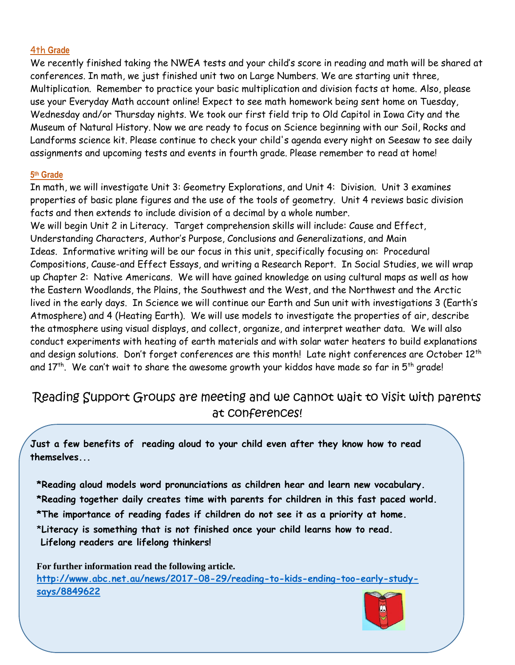#### 4th **Grade**

We recently finished taking the NWEA tests and your child's score in reading and math will be shared at conferences. In math, we just finished unit two on Large Numbers. We are starting unit three, Multiplication. Remember to practice your basic multiplication and division facts at home. Also, please use your Everyday Math account online! Expect to see math homework being sent home on Tuesday, Wednesday and/or Thursday nights. We took our first field trip to Old Capitol in Iowa City and the Museum of Natural History. Now we are ready to focus on Science beginning with our Soil, Rocks and Landforms science kit. Please continue to check your child's agenda every night on Seesaw to see daily assignments and upcoming tests and events in fourth grade. Please remember to read at home!

#### **5 th Grade**

 $\overline{\phantom{0}}$ 

In math, we will investigate Unit 3: Geometry Explorations, and Unit 4: Division. Unit 3 examines properties of basic plane figures and the use of the tools of geometry. Unit 4 reviews basic division facts and then extends to include division of a decimal by a whole number. We will begin Unit 2 in Literacy. Target comprehension skills will include: Cause and Effect, Understanding Characters, Author's Purpose, Conclusions and Generalizations, and Main Ideas. Informative writing will be our focus in this unit, specifically focusing on: Procedural Compositions, Cause-and Effect Essays, and writing a Research Report. In Social Studies, we will wrap up Chapter 2: Native Americans. We will have gained knowledge on using cultural maps as well as how the Eastern Woodlands, the Plains, the Southwest and the West, and the Northwest and the Arctic lived in the early days. In Science we will continue our Earth and Sun unit with investigations 3 (Earth's Atmosphere) and 4 (Heating Earth). We will use models to investigate the properties of air, describe the atmosphere using visual displays, and collect, organize, and interpret weather data. We will also conduct experiments with heating of earth materials and with solar water heaters to build explanations and design solutions. Don't forget conferences are this month! Late night conferences are October 12<sup>th</sup> and 17th. We can't wait to share the awesome growth your kiddos have made so far in  $5^\text{th}$  grade!

### Reading Support Groups are meeting and we cannot wait to visit with parents at conferences!

**Just a few benefits of reading aloud to your child even after they know how to read themselves...**

**\*Reading aloud models word pronunciations as children hear and learn new vocabulary. \*Reading together daily creates time with parents for children in this fast paced world. \*The importance of reading fades if children do not see it as a priority at home.**  \***Literacy is something that is not finished once your child learns how to read. Lifelong readers are lifelong thinkers!**

**For further information read the following article. [http://www.abc.net.au/news/2017-08-29/reading-to-kids-ending-too-early-study](http://www.abc.net.au/news/2017-08-29/reading-to-kids-ending-too-early-study-says/8849622)[says/8849622](http://www.abc.net.au/news/2017-08-29/reading-to-kids-ending-too-early-study-says/8849622)**

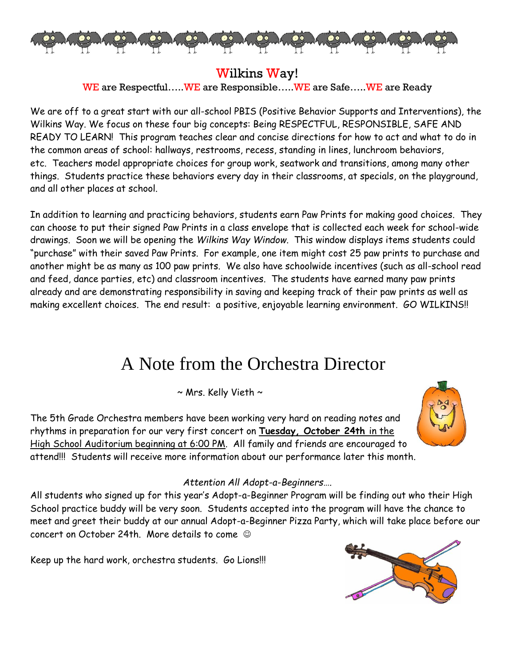

### Wilkins Way!

WE are Respectful…..WE are Responsible…..WE are Safe…..WE are Ready

We are off to a great start with our all-school PBIS (Positive Behavior Supports and Interventions), the Wilkins Way. We focus on these four big concepts: Being RESPECTFUL, RESPONSIBLE, SAFE AND READY TO LEARN! This program teaches clear and concise directions for how to act and what to do in the common areas of school: hallways, restrooms, recess, standing in lines, lunchroom behaviors, etc. Teachers model appropriate choices for group work, seatwork and transitions, among many other things. Students practice these behaviors every day in their classrooms, at specials, on the playground, and all other places at school.

In addition to learning and practicing behaviors, students earn Paw Prints for making good choices. They can choose to put their signed Paw Prints in a class envelope that is collected each week for school-wide drawings. Soon we will be opening the *Wilkins Way Window*. This window displays items students could "purchase" with their saved Paw Prints. For example, one item might cost 25 paw prints to purchase and another might be as many as 100 paw prints. We also have schoolwide incentives (such as all-school read and feed, dance parties, etc) and classroom incentives. The students have earned many paw prints already and are demonstrating responsibility in saving and keeping track of their paw prints as well as making excellent choices. The end result: a positive, enjoyable learning environment. GO WILKINS!!

# A Note from the Orchestra Director

 $\sim$  Mrs. Kelly Vieth  $\sim$ 

The 5th Grade Orchestra members have been working very hard on reading notes and rhythms in preparation for our very first concert on **Tuesday, October 24th** in the High School Auditorium beginning at 6:00 PM. All family and friends are encouraged to attend!!! Students will receive more information about our performance later this month.



#### *Attention All Adopt-a-Beginners….*

All students who signed up for this year's Adopt-a-Beginner Program will be finding out who their High School practice buddy will be very soon. Students accepted into the program will have the chance to meet and greet their buddy at our annual Adopt-a-Beginner Pizza Party, which will take place before our concert on October 24th. More details to come

Keep up the hard work, orchestra students. Go Lions!!!

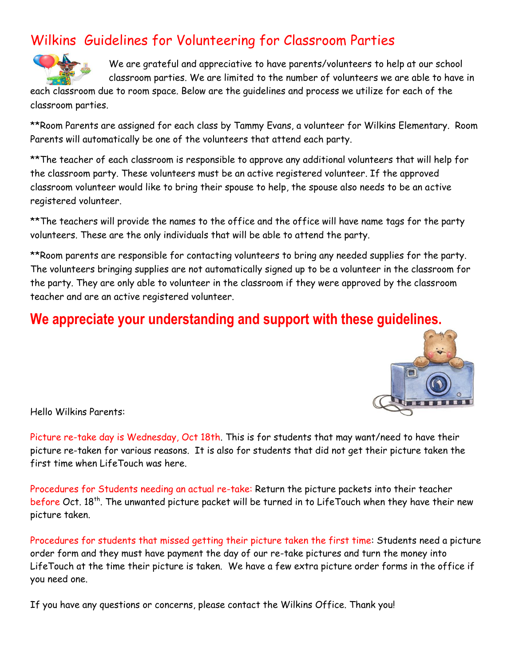# Wilkins Guidelines for Volunteering for Classroom Parties



We are grateful and appreciative to have parents/volunteers to help at our school classroom parties. We are limited to the number of volunteers we are able to have in

each classroom due to room space. Below are the guidelines and process we utilize for each of the classroom parties.

\*\*Room Parents are assigned for each class by Tammy Evans, a volunteer for Wilkins Elementary. Room Parents will automatically be one of the volunteers that attend each party.

\*\*The teacher of each classroom is responsible to approve any additional volunteers that will help for the classroom party. These volunteers must be an active registered volunteer. If the approved classroom volunteer would like to bring their spouse to help, the spouse also needs to be an active registered volunteer.

\*\*The teachers will provide the names to the office and the office will have name tags for the party volunteers. These are the only individuals that will be able to attend the party.

\*\*Room parents are responsible for contacting volunteers to bring any needed supplies for the party. The volunteers bringing supplies are not automatically signed up to be a volunteer in the classroom for the party. They are only able to volunteer in the classroom if they were approved by the classroom teacher and are an active registered volunteer.

## **We appreciate your understanding and support with these guidelines.**



Hello Wilkins Parents:

Picture re-take day is Wednesday, Oct 18th. This is for students that may want/need to have their picture re-taken for various reasons. It is also for students that did not get their picture taken the first time when LifeTouch was here.

Procedures for Students needing an actual re-take: Return the picture packets into their teacher before Oct. 18<sup>th</sup>. The unwanted picture packet will be turned in to LifeTouch when they have their new picture taken.

Procedures for students that missed getting their picture taken the first time: Students need a picture order form and they must have payment the day of our re-take pictures and turn the money into LifeTouch at the time their picture is taken. We have a few extra picture order forms in the office if you need one.

If you have any questions or concerns, please contact the Wilkins Office. Thank you!